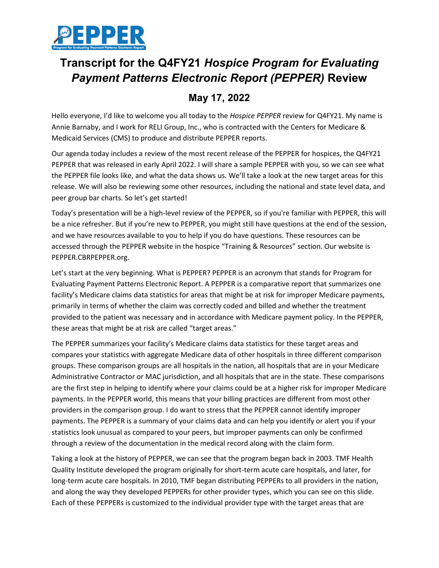

## **Transcript for the Q4FY21** *Hospice Program for Evaluating Payment Patterns Electronic Report (PEPPER)* **Review**

## **May 17, 2022**

Hello everyone, I'd like to welcome you all today to the *Hospice PEPPER* review for Q4FY21. My name is Annie Barnaby, and I work for RELI Group, Inc., who is contracted with the Centers for Medicare & Medicaid Services (CMS) to produce and distribute PEPPER reports.

Our agenda today includes a review of the most recent release of the PEPPER for hospices, the Q4FY21 PEPPER that was released in early April 2022. I will share a sample PEPPER with you, so we can see what the PEPPER file looks like, and what the data shows us. We'll take a look at the new target areas for this release. We will also be reviewing some other resources, including the national and state level data, and peer group bar charts. So let's get started!

Today's presentation will be a high-level review of the PEPPER, so if you're familiar with PEPPER, this will be a nice refresher. But if you're new to PEPPER, you might still have questions at the end of the session, and we have resources available to you to help if you do have questions. These resources can be accessed through the PEPPER website in the hospice "Training & Resources" section. Our website is PEPPER.CBRPEPPER.org.

Let's start at the very beginning. What is PEPPER? PEPPER is an acronym that stands for Program for Evaluating Payment Patterns Electronic Report. A PEPPER is a comparative report that summarizes one facility's Medicare claims data statistics for areas that might be at risk for improper Medicare payments, primarily in terms of whether the claim was correctly coded and billed and whether the treatment provided to the patient was necessary and in accordance with Medicare payment policy. In the PEPPER, these areas that might be at risk are called "target areas."

The PEPPER summarizes your facility's Medicare claims data statistics for these target areas and compares your statistics with aggregate Medicare data of other hospitals in three different comparison groups. These comparison groups are all hospitals in the nation, all hospitals that are in your Medicare Administrative Contractor or MAC jurisdiction, and all hospitals that are in the state. These comparisons are the first step in helping to identify where your claims could be at a higher risk for improper Medicare payments. In the PEPPER world, this means that your billing practices are different from most other providers in the comparison group. I do want to stress that the PEPPER cannot identify improper payments. The PEPPER is a summary of your claims data and can help you identify or alert you if your statistics look unusual as compared to your peers, but improper payments can only be confirmed through a review of the documentation in the medical record along with the claim form.

Taking a look at the history of PEPPER, we can see that the program began back in 2003. TMF Health Quality Institute developed the program originally for short-term acute care hospitals, and later, for long-term acute care hospitals. In 2010, TMF began distributing PEPPERs to all providers in the nation, and along the way they developed PEPPERs for other provider types, which you can see on this slide. Each of these PEPPERs is customized to the individual provider type with the target areas that are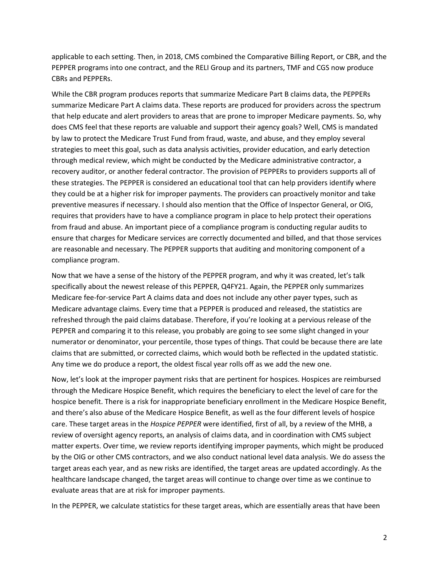applicable to each setting. Then, in 2018, CMS combined the Comparative Billing Report, or CBR, and the PEPPER programs into one contract, and the RELI Group and its partners, TMF and CGS now produce CBRs and PEPPERs.

While the CBR program produces reports that summarize Medicare Part B claims data, the PEPPERs summarize Medicare Part A claims data. These reports are produced for providers across the spectrum that help educate and alert providers to areas that are prone to improper Medicare payments. So, why does CMS feel that these reports are valuable and support their agency goals? Well, CMS is mandated by law to protect the Medicare Trust Fund from fraud, waste, and abuse, and they employ several strategies to meet this goal, such as data analysis activities, provider education, and early detection through medical review, which might be conducted by the Medicare administrative contractor, a recovery auditor, or another federal contractor. The provision of PEPPERs to providers supports all of these strategies. The PEPPER is considered an educational tool that can help providers identify where they could be at a higher risk for improper payments. The providers can proactively monitor and take preventive measures if necessary. I should also mention that the Office of Inspector General, or OIG, requires that providers have to have a compliance program in place to help protect their operations from fraud and abuse. An important piece of a compliance program is conducting regular audits to ensure that charges for Medicare services are correctly documented and billed, and that those services are reasonable and necessary. The PEPPER supports that auditing and monitoring component of a compliance program.

Now that we have a sense of the history of the PEPPER program, and why it was created, let's talk specifically about the newest release of this PEPPER, Q4FY21. Again, the PEPPER only summarizes Medicare fee-for-service Part A claims data and does not include any other payer types, such as Medicare advantage claims. Every time that a PEPPER is produced and released, the statistics are refreshed through the paid claims database. Therefore, if you're looking at a pervious release of the PEPPER and comparing it to this release, you probably are going to see some slight changed in your numerator or denominator, your percentile, those types of things. That could be because there are late claims that are submitted, or corrected claims, which would both be reflected in the updated statistic. Any time we do produce a report, the oldest fiscal year rolls off as we add the new one.

Now, let's look at the improper payment risks that are pertinent for hospices. Hospices are reimbursed through the Medicare Hospice Benefit, which requires the beneficiary to elect the level of care for the hospice benefit. There is a risk for inappropriate beneficiary enrollment in the Medicare Hospice Benefit, and there's also abuse of the Medicare Hospice Benefit, as well as the four different levels of hospice care. These target areas in the *Hospice PEPPER* were identified, first of all, by a review of the MHB, a review of oversight agency reports, an analysis of claims data, and in coordination with CMS subject matter experts. Over time, we review reports identifying improper payments, which might be produced by the OIG or other CMS contractors, and we also conduct national level data analysis. We do assess the target areas each year, and as new risks are identified, the target areas are updated accordingly. As the healthcare landscape changed, the target areas will continue to change over time as we continue to evaluate areas that are at risk for improper payments.

In the PEPPER, we calculate statistics for these target areas, which are essentially areas that have been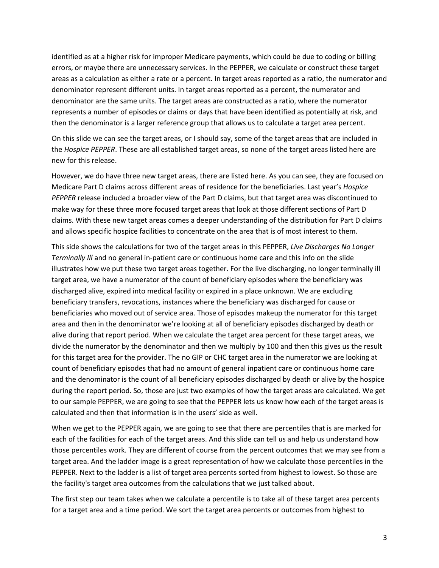identified as at a higher risk for improper Medicare payments, which could be due to coding or billing errors, or maybe there are unnecessary services. In the PEPPER, we calculate or construct these target areas as a calculation as either a rate or a percent. In target areas reported as a ratio, the numerator and denominator represent different units. In target areas reported as a percent, the numerator and denominator are the same units. The target areas are constructed as a ratio, where the numerator represents a number of episodes or claims or days that have been identified as potentially at risk, and then the denominator is a larger reference group that allows us to calculate a target area percent.

On this slide we can see the target areas, or I should say, some of the target areas that are included in the *Hospice PEPPER*. These are all established target areas, so none of the target areas listed here are new for this release.

However, we do have three new target areas, there are listed here. As you can see, they are focused on Medicare Part D claims across different areas of residence for the beneficiaries. Last year's *Hospice PEPPER* release included a broader view of the Part D claims, but that target area was discontinued to make way for these three more focused target areas that look at those different sections of Part D claims. With these new target areas comes a deeper understanding of the distribution for Part D claims and allows specific hospice facilities to concentrate on the area that is of most interest to them.

This side shows the calculations for two of the target areas in this PEPPER, *Live Discharges No Longer Terminally Ill* and no general in-patient care or continuous home care and this info on the slide illustrates how we put these two target areas together. For the live discharging, no longer terminally ill target area, we have a numerator of the count of beneficiary episodes where the beneficiary was discharged alive, expired into medical facility or expired in a place unknown. We are excluding beneficiary transfers, revocations, instances where the beneficiary was discharged for cause or beneficiaries who moved out of service area. Those of episodes makeup the numerator for this target area and then in the denominator we're looking at all of beneficiary episodes discharged by death or alive during that report period. When we calculate the target area percent for these target areas, we divide the numerator by the denominator and then we multiply by 100 and then this gives us the result for this target area for the provider. The no GIP or CHC target area in the numerator we are looking at count of beneficiary episodes that had no amount of general inpatient care or continuous home care and the denominator is the count of all beneficiary episodes discharged by death or alive by the hospice during the report period. So, those are just two examples of how the target areas are calculated. We get to our sample PEPPER, we are going to see that the PEPPER lets us know how each of the target areas is calculated and then that information is in the users' side as well.

When we get to the PEPPER again, we are going to see that there are percentiles that is are marked for each of the facilities for each of the target areas. And this slide can tell us and help us understand how those percentiles work. They are different of course from the percent outcomes that we may see from a target area. And the ladder image is a great representation of how we calculate those percentiles in the PEPPER. Next to the ladder is a list of target area percents sorted from highest to lowest. So those are the facility's target area outcomes from the calculations that we just talked about.

The first step our team takes when we calculate a percentile is to take all of these target area percents for a target area and a time period. We sort the target area percents or outcomes from highest to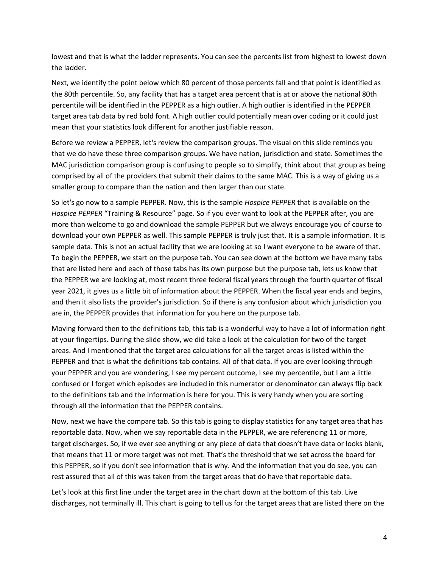lowest and that is what the ladder represents. You can see the percents list from highest to lowest down the ladder.

Next, we identify the point below which 80 percent of those percents fall and that point is identified as the 80th percentile. So, any facility that has a target area percent that is at or above the national 80th percentile will be identified in the PEPPER as a high outlier. A high outlier is identified in the PEPPER target area tab data by red bold font. A high outlier could potentially mean over coding or it could just mean that your statistics look different for another justifiable reason.

Before we review a PEPPER, let's review the comparison groups. The visual on this slide reminds you that we do have these three comparison groups. We have nation, jurisdiction and state. Sometimes the MAC jurisdiction comparison group is confusing to people so to simplify, think about that group as being comprised by all of the providers that submit their claims to the same MAC. This is a way of giving us a smaller group to compare than the nation and then larger than our state.

So let's go now to a sample PEPPER. Now, this is the sample *Hospice PEPPER* that is available on the *Hospice PEPPER* "Training & Resource" page. So if you ever want to look at the PEPPER after, you are more than welcome to go and download the sample PEPPER but we always encourage you of course to download your own PEPPER as well. This sample PEPPER is truly just that. It is a sample information. It is sample data. This is not an actual facility that we are looking at so I want everyone to be aware of that. To begin the PEPPER, we start on the purpose tab. You can see down at the bottom we have many tabs that are listed here and each of those tabs has its own purpose but the purpose tab, lets us know that the PEPPER we are looking at, most recent three federal fiscal years through the fourth quarter of fiscal year 2021, it gives us a little bit of information about the PEPPER. When the fiscal year ends and begins, and then it also lists the provider's jurisdiction. So if there is any confusion about which jurisdiction you are in, the PEPPER provides that information for you here on the purpose tab.

Moving forward then to the definitions tab, this tab is a wonderful way to have a lot of information right at your fingertips. During the slide show, we did take a look at the calculation for two of the target areas. And I mentioned that the target area calculations for all the target areas is listed within the PEPPER and that is what the definitions tab contains. All of that data. If you are ever looking through your PEPPER and you are wondering, I see my percent outcome, I see my percentile, but I am a little confused or I forget which episodes are included in this numerator or denominator can always flip back to the definitions tab and the information is here for you. This is very handy when you are sorting through all the information that the PEPPER contains.

Now, next we have the compare tab. So this tab is going to display statistics for any target area that has reportable data. Now, when we say reportable data in the PEPPER, we are referencing 11 or more, target discharges. So, if we ever see anything or any piece of data that doesn't have data or looks blank, that means that 11 or more target was not met. That's the threshold that we set across the board for this PEPPER, so if you don't see information that is why. And the information that you do see, you can rest assured that all of this was taken from the target areas that do have that reportable data.

Let's look at this first line under the target area in the chart down at the bottom of this tab. Live discharges, not terminally ill. This chart is going to tell us for the target areas that are listed there on the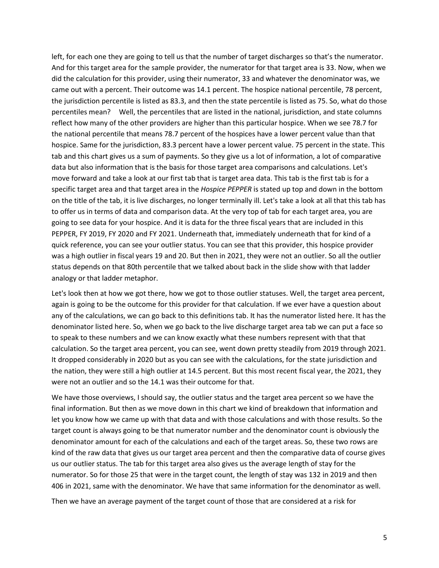left, for each one they are going to tell us that the number of target discharges so that's the numerator. And for this target area for the sample provider, the numerator for that target area is 33. Now, when we did the calculation for this provider, using their numerator, 33 and whatever the denominator was, we came out with a percent. Their outcome was 14.1 percent. The hospice national percentile, 78 percent, the jurisdiction percentile is listed as 83.3, and then the state percentile is listed as 75. So, what do those percentiles mean? Well, the percentiles that are listed in the national, jurisdiction, and state columns reflect how many of the other providers are higher than this particular hospice. When we see 78.7 for the national percentile that means 78.7 percent of the hospices have a lower percent value than that hospice. Same for the jurisdiction, 83.3 percent have a lower percent value. 75 percent in the state. This tab and this chart gives us a sum of payments. So they give us a lot of information, a lot of comparative data but also information that is the basis for those target area comparisons and calculations. Let's move forward and take a look at our first tab that is target area data. This tab is the first tab is for a specific target area and that target area in the *Hospice PEPPER* is stated up top and down in the bottom on the title of the tab, it is live discharges, no longer terminally ill. Let's take a look at all that this tab has to offer us in terms of data and comparison data. At the very top of tab for each target area, you are going to see data for your hospice. And it is data for the three fiscal years that are included in this PEPPER, FY 2019, FY 2020 and FY 2021. Underneath that, immediately underneath that for kind of a quick reference, you can see your outlier status. You can see that this provider, this hospice provider was a high outlier in fiscal years 19 and 20. But then in 2021, they were not an outlier. So all the outlier status depends on that 80th percentile that we talked about back in the slide show with that ladder analogy or that ladder metaphor.

Let's look then at how we got there, how we got to those outlier statuses. Well, the target area percent, again is going to be the outcome for this provider for that calculation. If we ever have a question about any of the calculations, we can go back to this definitions tab. It has the numerator listed here. It has the denominator listed here. So, when we go back to the live discharge target area tab we can put a face so to speak to these numbers and we can know exactly what these numbers represent with that that calculation. So the target area percent, you can see, went down pretty steadily from 2019 through 2021. It dropped considerably in 2020 but as you can see with the calculations, for the state jurisdiction and the nation, they were still a high outlier at 14.5 percent. But this most recent fiscal year, the 2021, they were not an outlier and so the 14.1 was their outcome for that.

We have those overviews, I should say, the outlier status and the target area percent so we have the final information. But then as we move down in this chart we kind of breakdown that information and let you know how we came up with that data and with those calculations and with those results. So the target count is always going to be that numerator number and the denominator count is obviously the denominator amount for each of the calculations and each of the target areas. So, these two rows are kind of the raw data that gives us our target area percent and then the comparative data of course gives us our outlier status. The tab for this target area also gives us the average length of stay for the numerator. So for those 25 that were in the target count, the length of stay was 132 in 2019 and then 406 in 2021, same with the denominator. We have that same information for the denominator as well.

Then we have an average payment of the target count of those that are considered at a risk for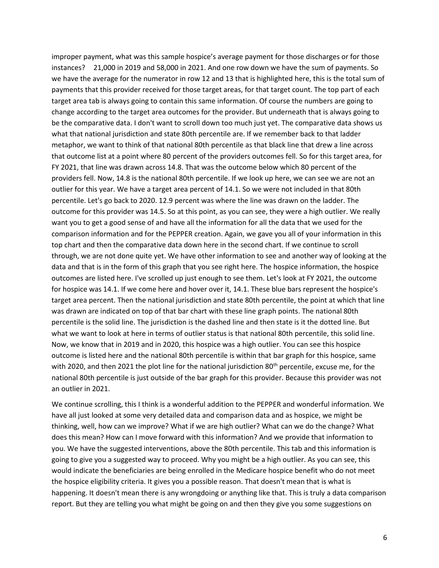improper payment, what was this sample hospice's average payment for those discharges or for those instances? 21,000 in 2019 and 58,000 in 2021. And one row down we have the sum of payments. So we have the average for the numerator in row 12 and 13 that is highlighted here, this is the total sum of payments that this provider received for those target areas, for that target count. The top part of each target area tab is always going to contain this same information. Of course the numbers are going to change according to the target area outcomes for the provider. But underneath that is always going to be the comparative data. I don't want to scroll down too much just yet. The comparative data shows us what that national jurisdiction and state 80th percentile are. If we remember back to that ladder metaphor, we want to think of that national 80th percentile as that black line that drew a line across that outcome list at a point where 80 percent of the providers outcomes fell. So for this target area, for FY 2021, that line was drawn across 14.8. That was the outcome below which 80 percent of the providers fell. Now, 14.8 is the national 80th percentile. If we look up here, we can see we are not an outlier for this year. We have a target area percent of 14.1. So we were not included in that 80th percentile. Let's go back to 2020. 12.9 percent was where the line was drawn on the ladder. The outcome for this provider was 14.5. So at this point, as you can see, they were a high outlier. We really want you to get a good sense of and have all the information for all the data that we used for the comparison information and for the PEPPER creation. Again, we gave you all of your information in this top chart and then the comparative data down here in the second chart. If we continue to scroll through, we are not done quite yet. We have other information to see and another way of looking at the data and that is in the form of this graph that you see right here. The hospice information, the hospice outcomes are listed here. I've scrolled up just enough to see them. Let's look at FY 2021, the outcome for hospice was 14.1. If we come here and hover over it, 14.1. These blue bars represent the hospice's target area percent. Then the national jurisdiction and state 80th percentile, the point at which that line was drawn are indicated on top of that bar chart with these line graph points. The national 80th percentile is the solid line. The jurisdiction is the dashed line and then state is it the dotted line. But what we want to look at here in terms of outlier status is that national 80th percentile, this solid line. Now, we know that in 2019 and in 2020, this hospice was a high outlier. You can see this hospice outcome is listed here and the national 80th percentile is within that bar graph for this hospice, same with 2020, and then 2021 the plot line for the national jurisdiction 80<sup>th</sup> percentile, excuse me, for the national 80th percentile is just outside of the bar graph for this provider. Because this provider was not an outlier in 2021.

We continue scrolling, this I think is a wonderful addition to the PEPPER and wonderful information. We have all just looked at some very detailed data and comparison data and as hospice, we might be thinking, well, how can we improve? What if we are high outlier? What can we do the change? What does this mean? How can I move forward with this information? And we provide that information to you. We have the suggested interventions, above the 80th percentile. This tab and this information is going to give you a suggested way to proceed. Why you might be a high outlier. As you can see, this would indicate the beneficiaries are being enrolled in the Medicare hospice benefit who do not meet the hospice eligibility criteria. It gives you a possible reason. That doesn't mean that is what is happening. It doesn't mean there is any wrongdoing or anything like that. This is truly a data comparison report. But they are telling you what might be going on and then they give you some suggestions on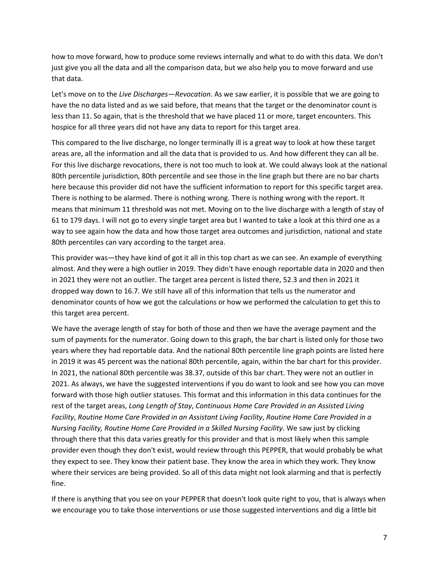how to move forward, how to produce some reviews internally and what to do with this data. We don't just give you all the data and all the comparison data, but we also help you to move forward and use that data.

Let's move on to the *Live Discharges—Revocation*. As we saw earlier, it is possible that we are going to have the no data listed and as we said before, that means that the target or the denominator count is less than 11. So again, that is the threshold that we have placed 11 or more, target encounters. This hospice for all three years did not have any data to report for this target area.

This compared to the live discharge, no longer terminally ill is a great way to look at how these target areas are, all the information and all the data that is provided to us. And how different they can all be. For this live discharge revocations, there is not too much to look at. We could always look at the national 80th percentile jurisdiction, 80th percentile and see those in the line graph but there are no bar charts here because this provider did not have the sufficient information to report for this specific target area. There is nothing to be alarmed. There is nothing wrong. There is nothing wrong with the report. It means that minimum 11 threshold was not met. Moving on to the live discharge with a length of stay of 61 to 179 days. I will not go to every single target area but I wanted to take a look at this third one as a way to see again how the data and how those target area outcomes and jurisdiction, national and state 80th percentiles can vary according to the target area.

This provider was—they have kind of got it all in this top chart as we can see. An example of everything almost. And they were a high outlier in 2019. They didn't have enough reportable data in 2020 and then in 2021 they were not an outlier. The target area percent is listed there, 52.3 and then in 2021 it dropped way down to 16.7. We still have all of this information that tells us the numerator and denominator counts of how we got the calculations or how we performed the calculation to get this to this target area percent.

We have the average length of stay for both of those and then we have the average payment and the sum of payments for the numerator. Going down to this graph, the bar chart is listed only for those two years where they had reportable data. And the national 80th percentile line graph points are listed here in 2019 it was 45 percent was the national 80th percentile, again, within the bar chart for this provider. In 2021, the national 80th percentile was 38.37, outside of this bar chart. They were not an outlier in 2021. As always, we have the suggested interventions if you do want to look and see how you can move forward with those high outlier statuses. This format and this information in this data continues for the rest of the target areas, *Long Length of Stay*, *Continuous Home Care Provided in an Assisted Living Facility*, *Routine Home Care Provided in an Assistant Living Facility*, *Routine Home Care Provided in a Nursing Facility, Routine Home Care Provided in a Skilled Nursing Facility*. We saw just by clicking through there that this data varies greatly for this provider and that is most likely when this sample provider even though they don't exist, would review through this PEPPER, that would probably be what they expect to see. They know their patient base. They know the area in which they work. They know where their services are being provided. So all of this data might not look alarming and that is perfectly fine.

If there is anything that you see on your PEPPER that doesn't look quite right to you, that is always when we encourage you to take those interventions or use those suggested interventions and dig a little bit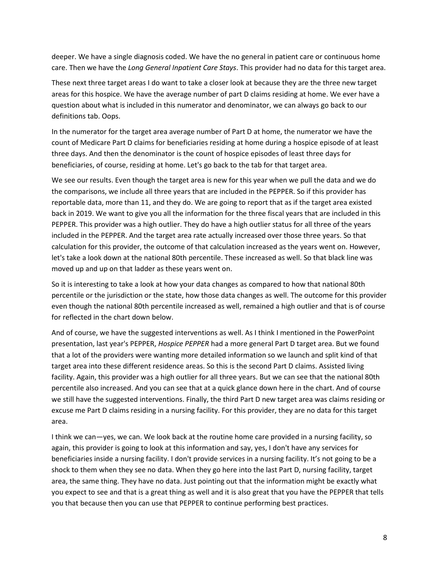deeper. We have a single diagnosis coded. We have the no general in patient care or continuous home care. Then we have the *Long General Inpatient Care Stays*. This provider had no data for this target area.

These next three target areas I do want to take a closer look at because they are the three new target areas for this hospice. We have the average number of part D claims residing at home. We ever have a question about what is included in this numerator and denominator, we can always go back to our definitions tab. Oops.

In the numerator for the target area average number of Part D at home, the numerator we have the count of Medicare Part D claims for beneficiaries residing at home during a hospice episode of at least three days. And then the denominator is the count of hospice episodes of least three days for beneficiaries, of course, residing at home. Let's go back to the tab for that target area.

We see our results. Even though the target area is new for this year when we pull the data and we do the comparisons, we include all three years that are included in the PEPPER. So if this provider has reportable data, more than 11, and they do. We are going to report that as if the target area existed back in 2019. We want to give you all the information for the three fiscal years that are included in this PEPPER. This provider was a high outlier. They do have a high outlier status for all three of the years included in the PEPPER. And the target area rate actually increased over those three years. So that calculation for this provider, the outcome of that calculation increased as the years went on. However, let's take a look down at the national 80th percentile. These increased as well. So that black line was moved up and up on that ladder as these years went on.

So it is interesting to take a look at how your data changes as compared to how that national 80th percentile or the jurisdiction or the state, how those data changes as well. The outcome for this provider even though the national 80th percentile increased as well, remained a high outlier and that is of course for reflected in the chart down below.

And of course, we have the suggested interventions as well. As I think I mentioned in the PowerPoint presentation, last year's PEPPER, *Hospice PEPPER* had a more general Part D target area. But we found that a lot of the providers were wanting more detailed information so we launch and split kind of that target area into these different residence areas. So this is the second Part D claims. Assisted living facility. Again, this provider was a high outlier for all three years. But we can see that the national 80th percentile also increased. And you can see that at a quick glance down here in the chart. And of course we still have the suggested interventions. Finally, the third Part D new target area was claims residing or excuse me Part D claims residing in a nursing facility. For this provider, they are no data for this target area.

I think we can—yes, we can. We look back at the routine home care provided in a nursing facility, so again, this provider is going to look at this information and say, yes, I don't have any services for beneficiaries inside a nursing facility. I don't provide services in a nursing facility. It's not going to be a shock to them when they see no data. When they go here into the last Part D, nursing facility, target area, the same thing. They have no data. Just pointing out that the information might be exactly what you expect to see and that is a great thing as well and it is also great that you have the PEPPER that tells you that because then you can use that PEPPER to continue performing best practices.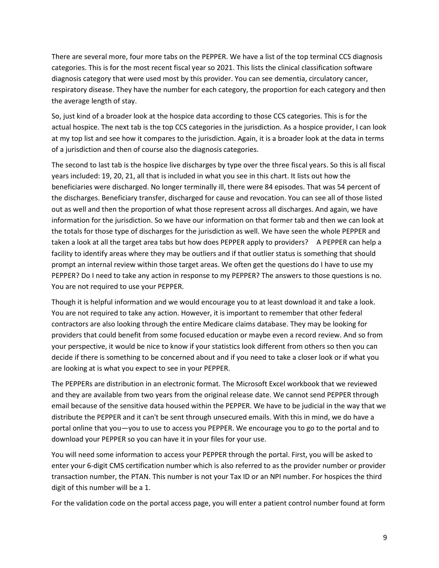There are several more, four more tabs on the PEPPER. We have a list of the top terminal CCS diagnosis categories. This is for the most recent fiscal year so 2021. This lists the clinical classification software diagnosis category that were used most by this provider. You can see dementia, circulatory cancer, respiratory disease. They have the number for each category, the proportion for each category and then the average length of stay.

So, just kind of a broader look at the hospice data according to those CCS categories. This is for the actual hospice. The next tab is the top CCS categories in the jurisdiction. As a hospice provider, I can look at my top list and see how it compares to the jurisdiction. Again, it is a broader look at the data in terms of a jurisdiction and then of course also the diagnosis categories.

The second to last tab is the hospice live discharges by type over the three fiscal years. So this is all fiscal years included: 19, 20, 21, all that is included in what you see in this chart. It lists out how the beneficiaries were discharged. No longer terminally ill, there were 84 episodes. That was 54 percent of the discharges. Beneficiary transfer, discharged for cause and revocation. You can see all of those listed out as well and then the proportion of what those represent across all discharges. And again, we have information for the jurisdiction. So we have our information on that former tab and then we can look at the totals for those type of discharges for the jurisdiction as well. We have seen the whole PEPPER and taken a look at all the target area tabs but how does PEPPER apply to providers? A PEPPER can help a facility to identify areas where they may be outliers and if that outlier status is something that should prompt an internal review within those target areas. We often get the questions do I have to use my PEPPER? Do I need to take any action in response to my PEPPER? The answers to those questions is no. You are not required to use your PEPPER.

Though it is helpful information and we would encourage you to at least download it and take a look. You are not required to take any action. However, it is important to remember that other federal contractors are also looking through the entire Medicare claims database. They may be looking for providers that could benefit from some focused education or maybe even a record review. And so from your perspective, it would be nice to know if your statistics look different from others so then you can decide if there is something to be concerned about and if you need to take a closer look or if what you are looking at is what you expect to see in your PEPPER.

The PEPPERs are distribution in an electronic format. The Microsoft Excel workbook that we reviewed and they are available from two years from the original release date. We cannot send PEPPER through email because of the sensitive data housed within the PEPPER. We have to be judicial in the way that we distribute the PEPPER and it can't be sent through unsecured emails. With this in mind, we do have a portal online that you—you to use to access you PEPPER. We encourage you to go to the portal and to download your PEPPER so you can have it in your files for your use.

You will need some information to access your PEPPER through the portal. First, you will be asked to enter your 6-digit CMS certification number which is also referred to as the provider number or provider transaction number, the PTAN. This number is not your Tax ID or an NPI number. For hospices the third digit of this number will be a 1.

For the validation code on the portal access page, you will enter a patient control number found at form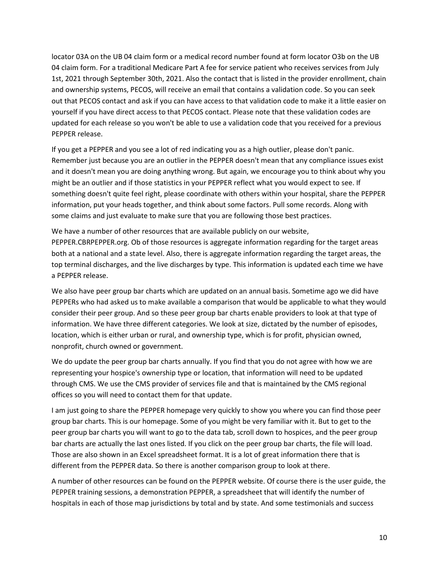locator 03A on the UB 04 claim form or a medical record number found at form locator O3b on the UB 04 claim form. For a traditional Medicare Part A fee for service patient who receives services from July 1st, 2021 through September 30th, 2021. Also the contact that is listed in the provider enrollment, chain and ownership systems, PECOS, will receive an email that contains a validation code. So you can seek out that PECOS contact and ask if you can have access to that validation code to make it a little easier on yourself if you have direct access to that PECOS contact. Please note that these validation codes are updated for each release so you won't be able to use a validation code that you received for a previous PEPPER release.

If you get a PEPPER and you see a lot of red indicating you as a high outlier, please don't panic. Remember just because you are an outlier in the PEPPER doesn't mean that any compliance issues exist and it doesn't mean you are doing anything wrong. But again, we encourage you to think about why you might be an outlier and if those statistics in your PEPPER reflect what you would expect to see. If something doesn't quite feel right, please coordinate with others within your hospital, share the PEPPER information, put your heads together, and think about some factors. Pull some records. Along with some claims and just evaluate to make sure that you are following those best practices.

We have a number of other resources that are available publicly on our website, PEPPER.CBRPEPPER.org. Ob of those resources is aggregate information regarding for the target areas both at a national and a state level. Also, there is aggregate information regarding the target areas, the top terminal discharges, and the live discharges by type. This information is updated each time we have a PEPPER release.

We also have peer group bar charts which are updated on an annual basis. Sometime ago we did have PEPPERs who had asked us to make available a comparison that would be applicable to what they would consider their peer group. And so these peer group bar charts enable providers to look at that type of information. We have three different categories. We look at size, dictated by the number of episodes, location, which is either urban or rural, and ownership type, which is for profit, physician owned, nonprofit, church owned or government.

We do update the peer group bar charts annually. If you find that you do not agree with how we are representing your hospice's ownership type or location, that information will need to be updated through CMS. We use the CMS provider of services file and that is maintained by the CMS regional offices so you will need to contact them for that update.

I am just going to share the PEPPER homepage very quickly to show you where you can find those peer group bar charts. This is our homepage. Some of you might be very familiar with it. But to get to the peer group bar charts you will want to go to the data tab, scroll down to hospices, and the peer group bar charts are actually the last ones listed. If you click on the peer group bar charts, the file will load. Those are also shown in an Excel spreadsheet format. It is a lot of great information there that is different from the PEPPER data. So there is another comparison group to look at there.

A number of other resources can be found on the PEPPER website. Of course there is the user guide, the PEPPER training sessions, a demonstration PEPPER, a spreadsheet that will identify the number of hospitals in each of those map jurisdictions by total and by state. And some testimonials and success